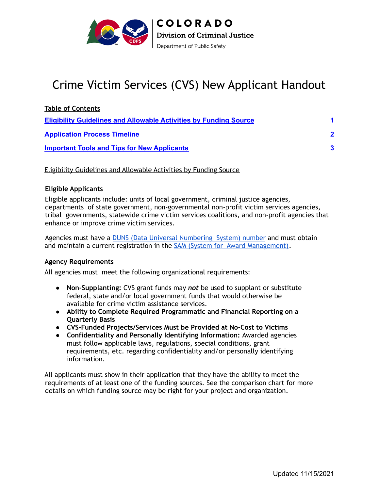<span id="page-0-1"></span>

# Crime Victim Services (CVS) New Applicant Handout

| <b>Table of Contents</b>                                                 |                         |
|--------------------------------------------------------------------------|-------------------------|
| <b>Eligibility Guidelines and Allowable Activities by Funding Source</b> | $\overline{\mathbf{A}}$ |
| <b>Application Process Timeline</b>                                      | $\overline{\mathbf{2}}$ |
| <b>Important Tools and Tips for New Applicants</b>                       | 3                       |

<span id="page-0-0"></span>Eligibility Guidelines and Allowable Activities by Funding Source

#### **Eligible Applicants**

Eligible applicants include: units of local government, criminal justice agencies, departments of state government, non-governmental non-profit victim services agencies, tribal governments, statewide crime victim services coalitions, and non-profit agencies that enhance or improve crime victim services.

and maintain a current registration in the SAM (System for [Award Management\).](https://sam.gov/content/home) Agencies must have a **[DUNS \(Data Universal Numbering](https://fedgov.dnb.com/webform/) System)** number and must obtain

#### **Agency Requirements**

All agencies must meet the following organizational requirements:

- **Non-Supplanting:** CVS grant funds may *not* be used to supplant or substitute federal, state and/or local government funds that would otherwise be available for crime victim assistance services.
- **Ability to Complete Required Programmatic and Financial Reporting on a Quarterly Basis**
- **CVS-Funded Projects/Services Must be Provided at No-Cost to Victims**
- **Confidentiality and Personally Identifying Information:** Awarded agencies must follow applicable laws, regulations, special conditions, grant requirements, etc. regarding confidentiality and/or personally identifying information.

All applicants must show in their application that they have the ability to meet the requirements of at least one of the funding sources. See the comparison chart for more details on which funding source may be right for your project and organization.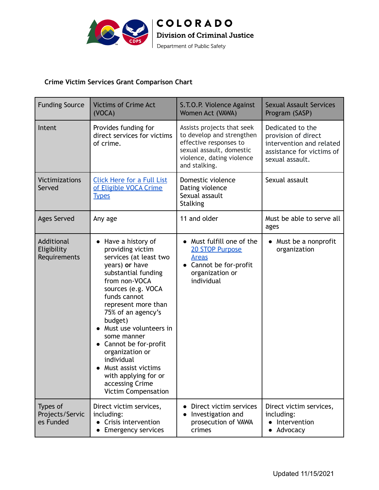

### **Crime Victim Services Grant Comparison Chart**

| <b>Funding Source</b>                     | <b>Victims of Crime Act</b><br>(VOCA)                                                                                                                                                                                                                                                                                                                                                                                       | S.T.O.P. Violence Against<br>Women Act (VAWA)                                                                                                               | <b>Sexual Assault Services</b><br>Program (SASP)                                                                    |
|-------------------------------------------|-----------------------------------------------------------------------------------------------------------------------------------------------------------------------------------------------------------------------------------------------------------------------------------------------------------------------------------------------------------------------------------------------------------------------------|-------------------------------------------------------------------------------------------------------------------------------------------------------------|---------------------------------------------------------------------------------------------------------------------|
| Intent                                    | Provides funding for<br>direct services for victims<br>of crime.                                                                                                                                                                                                                                                                                                                                                            | Assists projects that seek<br>to develop and strengthen<br>effective responses to<br>sexual assault, domestic<br>violence, dating violence<br>and stalking. | Dedicated to the<br>provision of direct<br>intervention and related<br>assistance for victims of<br>sexual assault. |
| <b>Victimizations</b><br>Served           | <b>Click Here for a Full List</b><br>of Eligible VOCA Crime<br><b>Types</b>                                                                                                                                                                                                                                                                                                                                                 | Domestic violence<br>Dating violence<br>Sexual assault<br><b>Stalking</b>                                                                                   | Sexual assault                                                                                                      |
| <b>Ages Served</b>                        | Any age                                                                                                                                                                                                                                                                                                                                                                                                                     | 11 and older                                                                                                                                                | Must be able to serve all<br>ages                                                                                   |
| Additional<br>Eligibility<br>Requirements | Have a history of<br>providing victim<br>services (at least two<br>years) or have<br>substantial funding<br>from non-VOCA<br>sources (e.g. VOCA<br>funds cannot<br>represent more than<br>75% of an agency's<br>budget)<br>Must use volunteers in<br>some manner<br>• Cannot be for-profit<br>organization or<br>individual<br>Must assist victims<br>with applying for or<br>accessing Crime<br><b>Victim Compensation</b> | Must fulfill one of the<br><b>20 STOP Purpose</b><br><b>Areas</b><br>Cannot be for-profit<br>organization or<br>individual                                  | • Must be a nonprofit<br>organization                                                                               |
| Types of<br>Projects/Servic<br>es Funded  | Direct victim services,<br>including:<br>Crisis intervention<br>$\bullet$<br><b>Emergency services</b>                                                                                                                                                                                                                                                                                                                      | Direct victim services<br>Investigation and<br>prosecution of VAWA<br>crimes                                                                                | Direct victim services,<br>including:<br>• Intervention<br>Advocacy<br>$\bullet$                                    |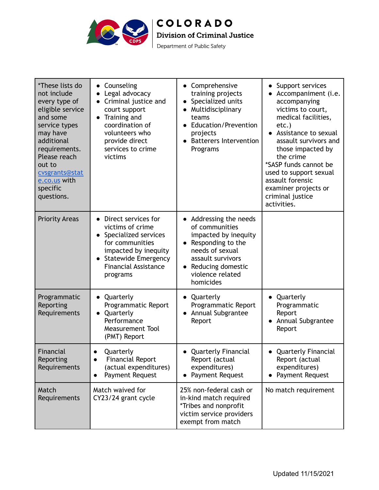

Department of Public Safety

| *These lists do<br>not include<br>every type of<br>eligible service<br>and some<br>service types<br>may have<br>additional<br>requirements.<br>Please reach<br>out to<br>cvsgrants@stat<br>e.co.us with<br>specific<br>questions. | • Counseling<br>Legal advocacy<br>Criminal justice and<br>court support<br>Training and<br>$\bullet$<br>coordination of<br>volunteers who<br>provide direct<br>services to crime<br>victims | • Comprehensive<br>training projects<br>Specialized units<br>Multidisciplinary<br>teams<br>• Education/Prevention<br>projects<br>• Batterers Intervention<br>Programs               | • Support services<br>Accompaniment (i.e.<br>accompanying<br>victims to court,<br>medical facilities,<br>etc.)<br>• Assistance to sexual<br>assault survivors and<br>those impacted by<br>the crime<br>*SASP funds cannot be<br>used to support sexual<br>assault forensic<br>examiner projects or<br>criminal justice<br>activities. |
|-----------------------------------------------------------------------------------------------------------------------------------------------------------------------------------------------------------------------------------|---------------------------------------------------------------------------------------------------------------------------------------------------------------------------------------------|-------------------------------------------------------------------------------------------------------------------------------------------------------------------------------------|---------------------------------------------------------------------------------------------------------------------------------------------------------------------------------------------------------------------------------------------------------------------------------------------------------------------------------------|
| <b>Priority Areas</b>                                                                                                                                                                                                             | • Direct services for<br>victims of crime<br>• Specialized services<br>for communities<br>impacted by inequity<br>• Statewide Emergency<br><b>Financial Assistance</b><br>programs          | • Addressing the needs<br>of communities<br>impacted by inequity<br>Responding to the<br>needs of sexual<br>assault survivors<br>Reducing domestic<br>violence related<br>homicides |                                                                                                                                                                                                                                                                                                                                       |
| Programmatic<br>Reporting<br>Requirements                                                                                                                                                                                         | • Quarterly<br>Programmatic Report<br>Quarterly<br>$\bullet$<br>Performance<br><b>Measurement Tool</b><br>(PMT) Report                                                                      | • Quarterly<br>Programmatic Report<br>Annual Subgrantee<br>Report                                                                                                                   | • Quarterly<br>Programmatic<br>Report<br>Annual Subgrantee<br>Report                                                                                                                                                                                                                                                                  |
| Financial<br>Reporting<br>Requirements                                                                                                                                                                                            | Quarterly<br>$\bullet$<br><b>Financial Report</b><br>$\bullet$<br>(actual expenditures)<br>Payment Request<br>$\bullet$                                                                     | <b>Quarterly Financial</b><br>Report (actual<br>expenditures)<br>Payment Request                                                                                                    | <b>Quarterly Financial</b><br>$\bullet$<br>Report (actual<br>expenditures)<br>Payment Request                                                                                                                                                                                                                                         |
| Match<br>Requirements                                                                                                                                                                                                             | Match waived for<br>CY23/24 grant cycle                                                                                                                                                     | 25% non-federal cash or<br>in-kind match required<br>*Tribes and nonprofit<br>victim service providers<br>exempt from match                                                         | No match requirement                                                                                                                                                                                                                                                                                                                  |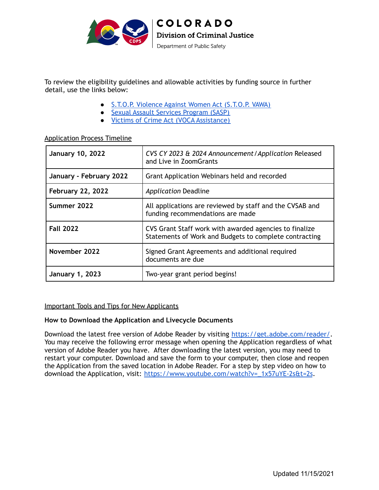<span id="page-3-1"></span>

 To review the eligibility guidelines and allowable activities by funding source in further detail, use the links below:

- S.T.O.P. [Violence](https://docs.google.com/document/d/17qj_n_vwe1Dz-sxqpEui6mSgLIO-YZFGh9TA9X7PK4U/edit?usp=sharing) Against Women Act (S.T.O.P. VAWA)
- Sexual Assault Services [Program](https://docs.google.com/document/d/1U7vQBo7OGVXX4-TcNxDSEqPuqvYE67jOn6hj-T0Alf4/edit?usp=sharing) (SASP)
- Victims of Crime Act (VOCA [Assistance\)](https://docs.google.com/document/d/1rz1Ief0232ysFDg3THal7b9ro2qcKYgWSUcT_vXjWh8/edit?usp=sharing)

#### [Application](#page-0-1) Process Timeline

| <b>January 10, 2022</b>  | CVS CY 2023 & 2024 Announcement / Application Released<br>and Live in ZoomGrants                                 |  |
|--------------------------|------------------------------------------------------------------------------------------------------------------|--|
| January - February 2022  | Grant Application Webinars held and recorded                                                                     |  |
| <b>February 22, 2022</b> | <b>Application Deadline</b>                                                                                      |  |
| Summer 2022              | All applications are reviewed by staff and the CVSAB and<br>funding recommendations are made                     |  |
| <b>Fall 2022</b>         | CVS Grant Staff work with awarded agencies to finalize<br>Statements of Work and Budgets to complete contracting |  |
| November 2022            | Signed Grant Agreements and additional required<br>documents are due                                             |  |
| <b>January 1, 2023</b>   | Two-year grant period begins!                                                                                    |  |

#### <span id="page-3-0"></span>Important Tools and Tips for New Applicants

#### **How to Download the Application and Livecycle Documents**

Download the latest free version of Adobe Reader by visiting <https://get.adobe.com/reader/>. You may receive the following error message when opening the Application regardless of what version of Adobe Reader you have. After downloading the latest version, you may need to restart your computer. Download and save the form to your computer, then close and reopen the Application from the saved location in Adobe Reader. For a step by step video on how to download the Application, visit: [https://www.youtube.com/watch?v=\\_1x57uYE-2s&t=2s](https://www.youtube.com/watch?v=_1x57uYE-2s&t=2s).